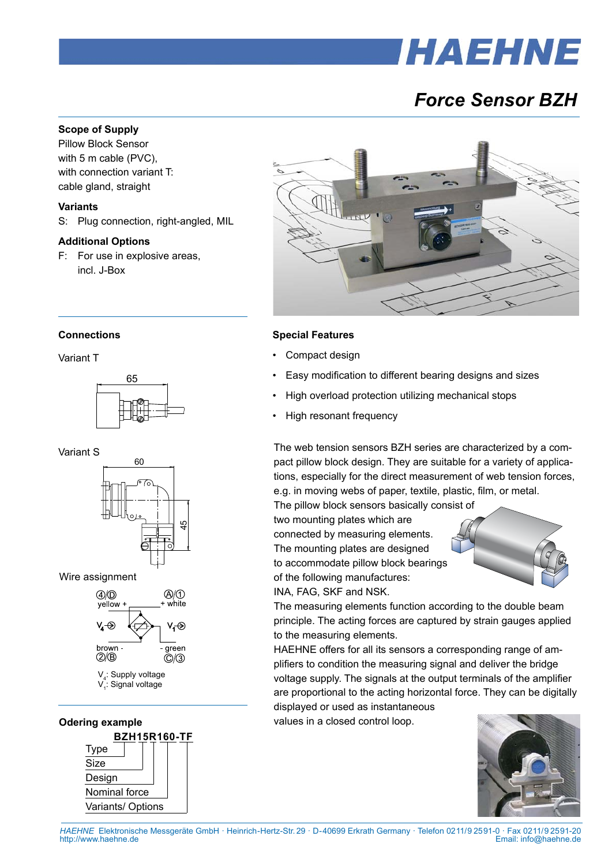# *HAEHNE*

## *Force Sensor BZH*

#### **Scope of Supply**

Pillow Block Sensor with 5 m cable (PVC), with connection variant T: cable gland, straight

#### **Variants**

S: Plug connection, right-angled, MIL

#### **Additional Options**

F: For use in explosive areas, incl. J-Box



#### **Special Features**

- Compact design
- Easy modification to different bearing designs and sizes
- High overload protection utilizing mechanical stops
- High resonant frequency

The web tension sensors BZH series are characterized by a compact pillow block design. They are suitable for a variety of applications, especially for the direct measurement of web tension forces, e.g. in moving webs of paper, textile, plastic, film, or metal.

The pillow block sensors basically consist of two mounting plates which are connected by measuring elements. The mounting plates are designed to accommodate pillow block bearings

of the following manufactures: INA, FAG, SKF and NSK.



The measuring elements function according to the double beam principle. The acting forces are captured by strain gauges applied to the measuring elements.

HAEHNE offers for all its sensors a corresponding range of amplifiers to condition the measuring signal and deliver the bridge voltage supply. The signals at the output terminals of the amplifier are proportional to the acting horizontal force. They can be digitally

displayed or used as instantaneous values in a closed control loop.



#### **Connections**

Variant T



Variant S







V<sub>4</sub>: Supply voltage V<sub>1</sub>: Signal voltage



*HAEHNE* Elektronische Messgeräte GmbH · Heinrich-Hertz-Str. 29 · D-40699 Erkrath Germany · Telefon 0211/9 25 91-0 · Fax 0211/9 25 91-20 Email: info@haehne.de